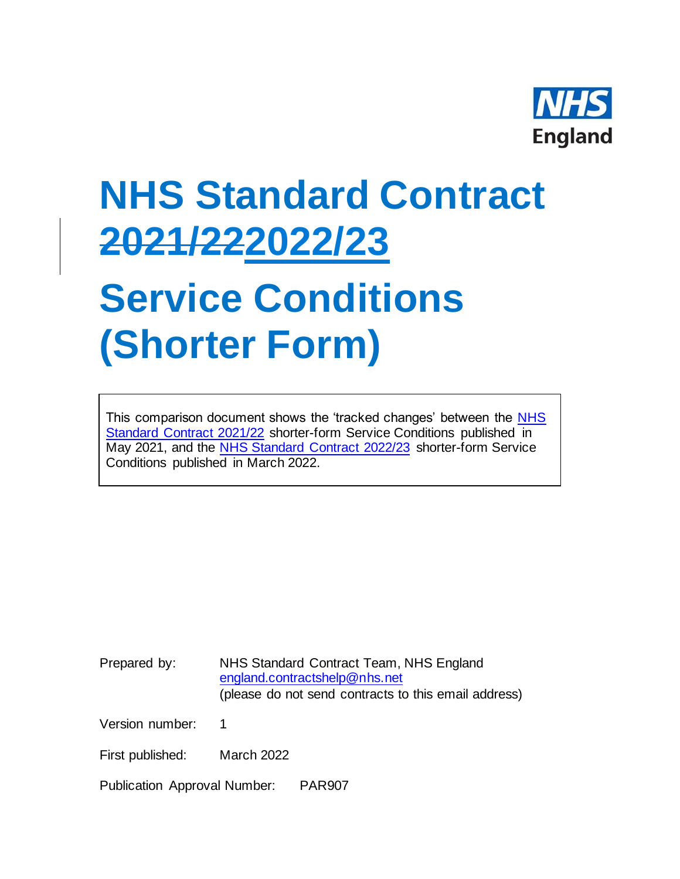

## **NHS Standard Contract 2021/222022/23**

## **Service Conditions (Shorter Form)**

This comparison document shows the 'tracked changes' between the [NHS](https://www.england.nhs.uk/nhs-standard-contract/21-22/shorter-form-nhs-standard-contract-2021-22-particulars-service-conditions-general-conditions/)  [Standard Contract 2021/22](https://www.england.nhs.uk/nhs-standard-contract/21-22/shorter-form-nhs-standard-contract-2021-22-particulars-service-conditions-general-conditions/) shorter-form Service Conditions published in May 2021, and the [NHS Standard Contract 2022/23](https://www.england.nhs.uk/nhs-standard-contract/) shorter-form Service Conditions published in March 2022.

Prepared by: NHS Standard Contract Team, NHS England [england.contractshelp@nhs.net](mailto:england.contractshelp@nhs.net) (please do not send contracts to this email address)

Version number: 1

First published: March 2022

Publication Approval Number: PAR907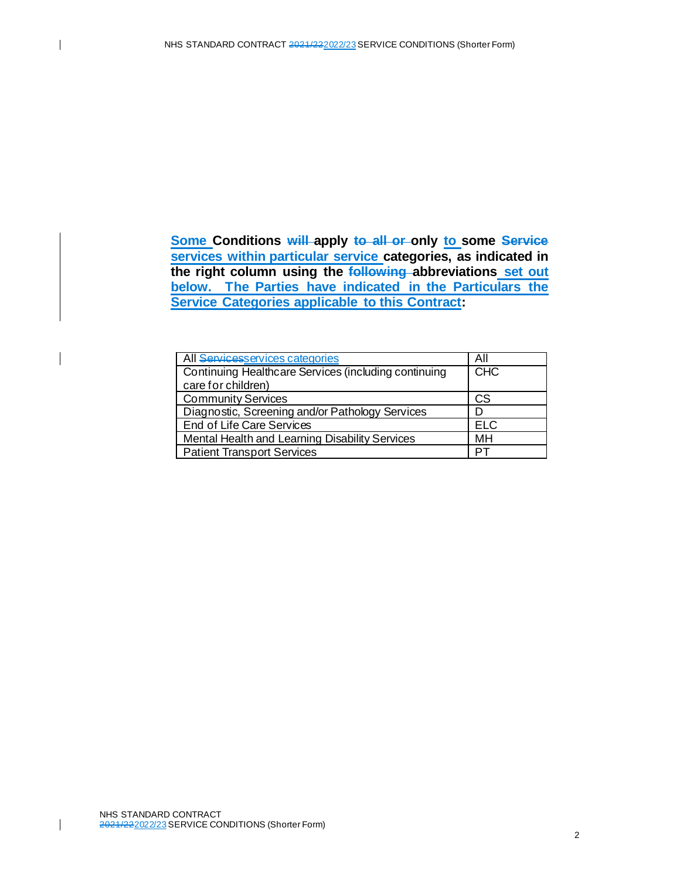**Some Conditions will apply to all or only to some Service services within particular service categories, as indicated in the right column using the following abbreviations set out below. The Parties have indicated in the Particulars the Service Categories applicable to this Contract:**

| All Servicesservices categories                      | All        |
|------------------------------------------------------|------------|
| Continuing Healthcare Services (including continuing | <b>CHC</b> |
| care for children)                                   |            |
| <b>Community Services</b>                            | <b>CS</b>  |
| Diagnostic, Screening and/or Pathology Services      |            |
| End of Life Care Services                            | <b>ELC</b> |
| Mental Health and Learning Disability Services       | MH         |
| <b>Patient Transport Services</b>                    |            |

 $\mathsf{l}$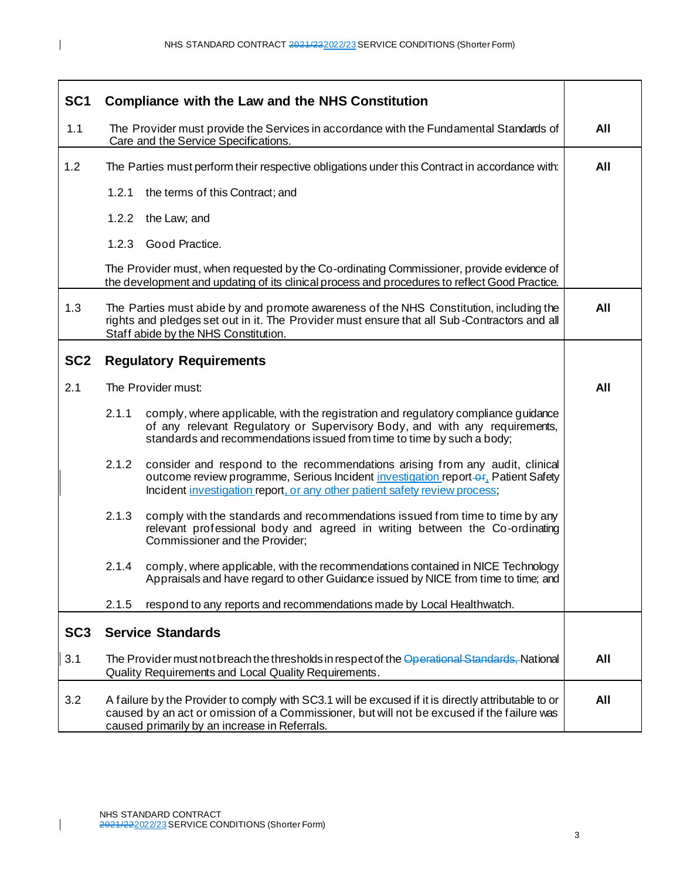| SC <sub>1</sub> | <b>Compliance with the Law and the NHS Constitution</b>                                                                                                                                                                                                   |     |
|-----------------|-----------------------------------------------------------------------------------------------------------------------------------------------------------------------------------------------------------------------------------------------------------|-----|
| 1.1             | The Provider must provide the Services in accordance with the Fundamental Standards of<br>Care and the Service Specifications.                                                                                                                            | All |
| 1.2             | The Parties must perform their respective obligations under this Contract in accordance with:                                                                                                                                                             | All |
|                 | 1.2.1<br>the terms of this Contract; and                                                                                                                                                                                                                  |     |
|                 | 1.2.2 the Law; and                                                                                                                                                                                                                                        |     |
|                 | 1.2.3 Good Practice.                                                                                                                                                                                                                                      |     |
|                 | The Provider must, when requested by the Co-ordinating Commissioner, provide evidence of<br>the development and updating of its clinical process and procedures to reflect Good Practice.                                                                 |     |
| 1.3             | The Parties must abide by and promote awareness of the NHS Constitution, including the<br>rights and pledges set out in it. The Provider must ensure that all Sub-Contractors and all<br>Staff abide by the NHS Constitution.                             | All |
| SC <sub>2</sub> | <b>Regulatory Requirements</b>                                                                                                                                                                                                                            |     |
| 2.1             | The Provider must:                                                                                                                                                                                                                                        | All |
|                 | 2.1.1<br>comply, where applicable, with the registration and regulatory compliance guidance<br>of any relevant Regulatory or Supervisory Body, and with any requirements,<br>standards and recommendations issued from time to time by such a body;       |     |
|                 | 2.1.2<br>consider and respond to the recommendations arising from any audit, clinical<br>outcome review programme, Serious Incident investigation report-or, Patient Safety<br>Incident investigation report, or any other patient safety review process; |     |
|                 | 2.1.3<br>comply with the standards and recommendations issued from time to time by any<br>relevant professional body and agreed in writing between the Co-ordinating<br>Commissioner and the Provider;                                                    |     |
|                 | comply, where applicable, with the recommendations contained in NICE Technology<br>2.1.4<br>Appraisals and have regard to other Guidance issued by NICE from time to time; and                                                                            |     |
|                 | 2.1.5<br>respond to any reports and recommendations made by Local Healthwatch.                                                                                                                                                                            |     |
| SC <sub>3</sub> | <b>Service Standards</b>                                                                                                                                                                                                                                  |     |
| 3.1             | The Provider must not breach the thresholds in respect of the Operational Standards, National<br>Quality Requirements and Local Quality Requirements.                                                                                                     | All |
| 3.2             | A failure by the Provider to comply with SC3.1 will be excused if it is directly attributable to or<br>caused by an act or omission of a Commissioner, but will not be excused if the failure was<br>caused primarily by an increase in Referrals.        | All |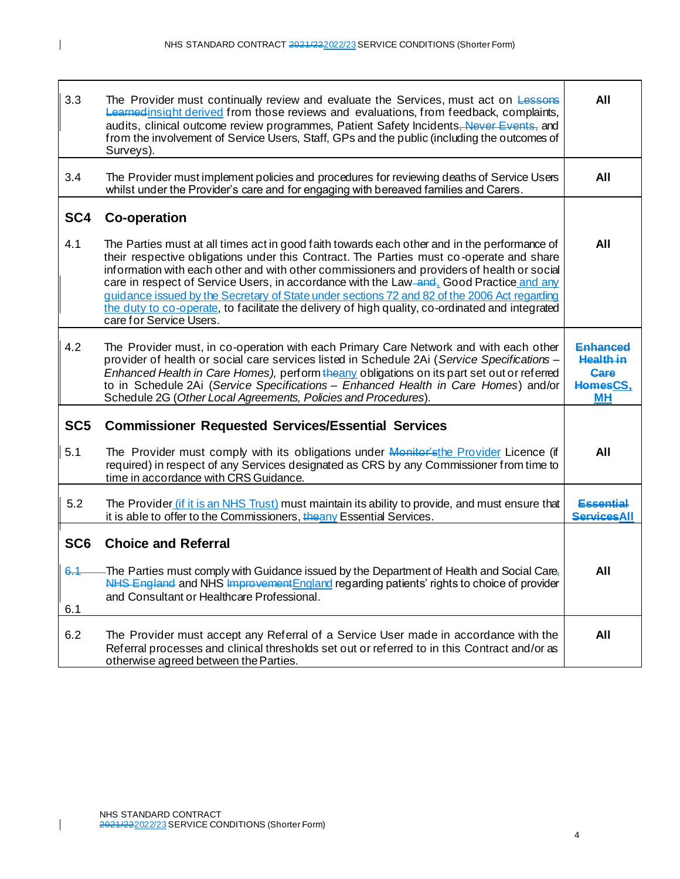| 3.3                   | The Provider must continually review and evaluate the Services, must act on Lessens<br>Learned insight derived from those reviews and evaluations, from feedback, complaints,<br>audits, clinical outcome review programmes, Patient Safety Incidents, Never Events, and<br>from the involvement of Service Users, Staff, GPs and the public (including the outcomes of<br>Surveys).                                                                                                                                                                                                                           | All                                                                  |
|-----------------------|----------------------------------------------------------------------------------------------------------------------------------------------------------------------------------------------------------------------------------------------------------------------------------------------------------------------------------------------------------------------------------------------------------------------------------------------------------------------------------------------------------------------------------------------------------------------------------------------------------------|----------------------------------------------------------------------|
| 3.4                   | The Provider must implement policies and procedures for reviewing deaths of Service Users<br>whilst under the Provider's care and for engaging with bereaved families and Carers.                                                                                                                                                                                                                                                                                                                                                                                                                              | All                                                                  |
| SC4                   | <b>Co-operation</b>                                                                                                                                                                                                                                                                                                                                                                                                                                                                                                                                                                                            |                                                                      |
| 4.1                   | The Parties must at all times act in good faith towards each other and in the performance of<br>their respective obligations under this Contract. The Parties must co-operate and share<br>information with each other and with other commissioners and providers of health or social<br>care in respect of Service Users, in accordance with the Law-and, Good Practice and any<br>guidance issued by the Secretary of State under sections 72 and 82 of the 2006 Act regarding<br>the duty to co-operate, to facilitate the delivery of high quality, co-ordinated and integrated<br>care for Service Users. | All                                                                  |
| 4.2                   | The Provider must, in co-operation with each Primary Care Network and with each other<br>provider of health or social care services listed in Schedule 2Ai (Service Specifications -<br>Enhanced Health in Care Homes), perform the any obligations on its part set out or referred<br>to in Schedule 2Ai (Service Specifications - Enhanced Health in Care Homes) and/or<br>Schedule 2G (Other Local Agreements, Policies and Procedures).                                                                                                                                                                    | <b>Enhanced</b><br><b>Health in</b><br>Care<br>HomesCS.<br><b>MH</b> |
| SC <sub>5</sub>       | <b>Commissioner Requested Services/Essential Services</b>                                                                                                                                                                                                                                                                                                                                                                                                                                                                                                                                                      |                                                                      |
| 5.1                   | The Provider must comply with its obligations under Monitor'sthe Provider Licence (if<br>required) in respect of any Services designated as CRS by any Commissioner from time to<br>time in accordance with CRS Guidance.                                                                                                                                                                                                                                                                                                                                                                                      | All                                                                  |
| 5.2                   | The Provider <i>(if it is an NHS Trust)</i> must maintain its ability to provide, and must ensure that<br>it is able to offer to the Commissioners, the any Essential Services.                                                                                                                                                                                                                                                                                                                                                                                                                                | Essential<br><b>ServicesAll</b>                                      |
| SC <sub>6</sub>       | <b>Choice and Referral</b>                                                                                                                                                                                                                                                                                                                                                                                                                                                                                                                                                                                     |                                                                      |
| <del>6.1</del><br>6.1 | -The Parties must comply with Guidance issued by the Department of Health and Social Care,<br>NHS England and NHS Improvement England regarding patients' rights to choice of provider<br>and Consultant or Healthcare Professional.                                                                                                                                                                                                                                                                                                                                                                           | All                                                                  |
| 6.2                   | The Provider must accept any Referral of a Service User made in accordance with the<br>Referral processes and clinical thresholds set out or referred to in this Contract and/or as<br>otherwise agreed between the Parties.                                                                                                                                                                                                                                                                                                                                                                                   | All                                                                  |

4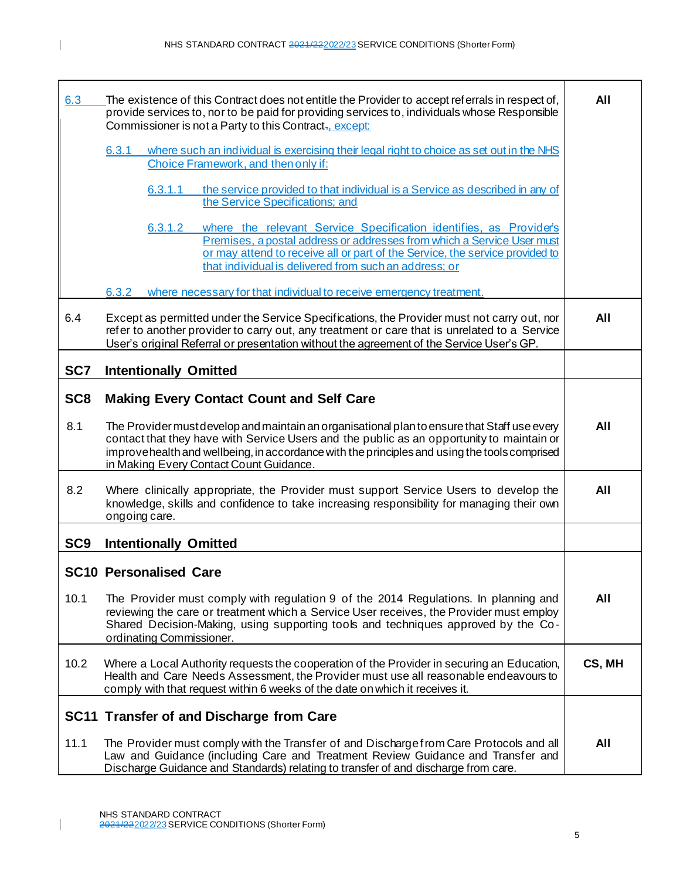| 6.3             | The existence of this Contract does not entitle the Provider to accept referrals in respect of,<br>provide services to, nor to be paid for providing services to, individuals whose Responsible<br>Commissioner is not a Party to this Contract <sub><sup>7</sup></sub> , except:                                                     | All    |
|-----------------|---------------------------------------------------------------------------------------------------------------------------------------------------------------------------------------------------------------------------------------------------------------------------------------------------------------------------------------|--------|
|                 | where such an individual is exercising their legal right to choice as set out in the NHS<br>6.3.1<br>Choice Framework, and then only if:                                                                                                                                                                                              |        |
|                 | the service provided to that individual is a Service as described in any of<br>6.3.1.1<br>the Service Specifications; and                                                                                                                                                                                                             |        |
|                 | where the relevant Service Specification identifies, as Provider's<br>6.3.1.2<br>Premises, a postal address or addresses from which a Service User must<br>or may attend to receive all or part of the Service, the service provided to<br>that individual is delivered from such an address; or                                      |        |
|                 | where necessary for that individual to receive emergency treatment.<br>6.3.2                                                                                                                                                                                                                                                          |        |
| 6.4             | Except as permitted under the Service Specifications, the Provider must not carry out, nor<br>refer to another provider to carry out, any treatment or care that is unrelated to a Service<br>User's original Referral or presentation without the agreement of the Service User's GP.                                                | All    |
| SC7             | <b>Intentionally Omitted</b>                                                                                                                                                                                                                                                                                                          |        |
| SC <sub>8</sub> | <b>Making Every Contact Count and Self Care</b>                                                                                                                                                                                                                                                                                       |        |
| 8.1             | The Provider must develop and maintain an organisational plan to ensure that Staff use every<br>contact that they have with Service Users and the public as an opportunity to maintain or<br>improve health and wellbeing, in accordance with the principles and using the tools comprised<br>in Making Every Contact Count Guidance. | All    |
| 8.2             | Where clinically appropriate, the Provider must support Service Users to develop the<br>knowledge, skills and confidence to take increasing responsibility for managing their own<br>ongoing care.                                                                                                                                    | All    |
| SC <sub>9</sub> | <b>Intentionally Omitted</b>                                                                                                                                                                                                                                                                                                          |        |
|                 | <b>SC10 Personalised Care</b>                                                                                                                                                                                                                                                                                                         |        |
| 10.1            | The Provider must comply with regulation 9 of the 2014 Regulations. In planning and<br>reviewing the care or treatment which a Service User receives, the Provider must employ<br>Shared Decision-Making, using supporting tools and techniques approved by the Co-<br>ordinating Commissioner.                                       | All    |
| 10.2            | Where a Local Authority requests the cooperation of the Provider in securing an Education,<br>Health and Care Needs Assessment, the Provider must use all reasonable endeavours to<br>comply with that request within 6 weeks of the date on which it receives it.                                                                    | CS, MH |
|                 | SC11 Transfer of and Discharge from Care                                                                                                                                                                                                                                                                                              |        |
| 11.1            | The Provider must comply with the Transfer of and Discharge from Care Protocols and all<br>Law and Guidance (including Care and Treatment Review Guidance and Transfer and<br>Discharge Guidance and Standards) relating to transfer of and discharge from care.                                                                      | All    |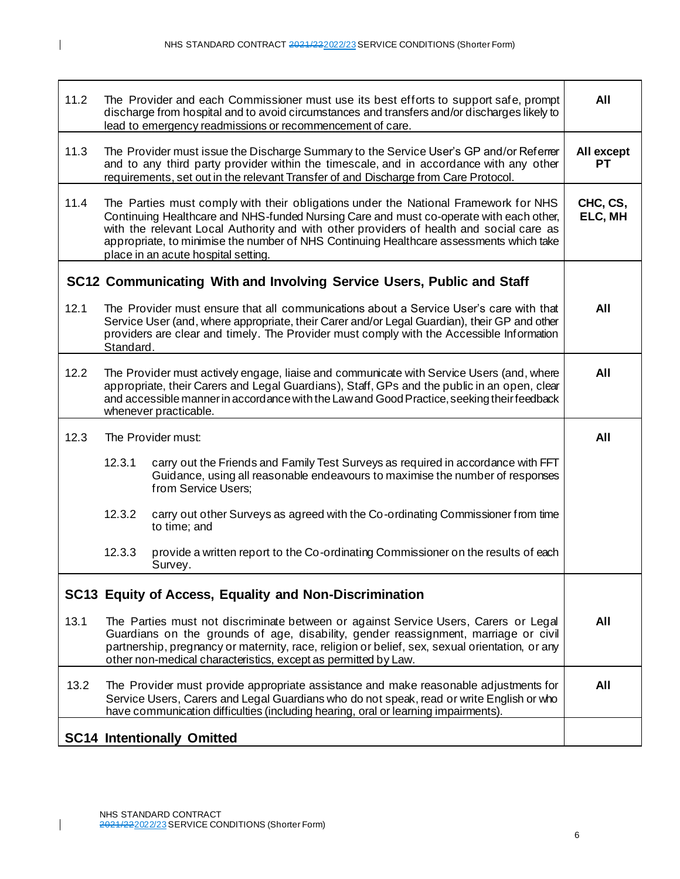| 11.2 |           | The Provider and each Commissioner must use its best efforts to support safe, prompt<br>discharge from hospital and to avoid circumstances and transfers and/or discharges likely to<br>lead to emergency readmissions or recommencement of care.                                                                                                                                                          | All                 |
|------|-----------|------------------------------------------------------------------------------------------------------------------------------------------------------------------------------------------------------------------------------------------------------------------------------------------------------------------------------------------------------------------------------------------------------------|---------------------|
| 11.3 |           | The Provider must issue the Discharge Summary to the Service User's GP and/or Referrer<br>and to any third party provider within the timescale, and in accordance with any other<br>requirements, set out in the relevant Transfer of and Discharge from Care Protocol.                                                                                                                                    | All except<br>РT    |
| 11.4 |           | The Parties must comply with their obligations under the National Framework for NHS<br>Continuing Healthcare and NHS-funded Nursing Care and must co-operate with each other,<br>with the relevant Local Authority and with other providers of health and social care as<br>appropriate, to minimise the number of NHS Continuing Healthcare assessments which take<br>place in an acute hospital setting. | CHC, CS,<br>ELC, MH |
|      |           | SC12 Communicating With and Involving Service Users, Public and Staff                                                                                                                                                                                                                                                                                                                                      |                     |
| 12.1 | Standard. | The Provider must ensure that all communications about a Service User's care with that<br>Service User (and, where appropriate, their Carer and/or Legal Guardian), their GP and other<br>providers are clear and timely. The Provider must comply with the Accessible Information                                                                                                                         | All                 |
| 12.2 |           | The Provider must actively engage, liaise and communicate with Service Users (and, where<br>appropriate, their Carers and Legal Guardians), Staff, GPs and the public in an open, clear<br>and accessible manner in accordance with the Law and Good Practice, seeking their feedback<br>whenever practicable.                                                                                             | All                 |
|      |           |                                                                                                                                                                                                                                                                                                                                                                                                            |                     |
| 12.3 |           | The Provider must:                                                                                                                                                                                                                                                                                                                                                                                         | All                 |
|      | 12.3.1    | carry out the Friends and Family Test Surveys as required in accordance with FFT<br>Guidance, using all reasonable endeavours to maximise the number of responses<br>from Service Users;                                                                                                                                                                                                                   |                     |
|      | 12.3.2    | carry out other Surveys as agreed with the Co-ordinating Commissioner from time<br>to time; and                                                                                                                                                                                                                                                                                                            |                     |
|      | 12.3.3    | provide a written report to the Co-ordinating Commissioner on the results of each<br>Survey.                                                                                                                                                                                                                                                                                                               |                     |
|      |           | SC13 Equity of Access, Equality and Non-Discrimination                                                                                                                                                                                                                                                                                                                                                     |                     |
| 13.1 |           | The Parties must not discriminate between or against Service Users, Carers or Legal<br>Guardians on the grounds of age, disability, gender reassignment, marriage or civil<br>partnership, pregnancy or maternity, race, religion or belief, sex, sexual orientation, or any<br>other non-medical characteristics, except as permitted by Law.                                                             | All                 |
| 13.2 |           | The Provider must provide appropriate assistance and make reasonable adjustments for<br>Service Users, Carers and Legal Guardians who do not speak, read or write English or who<br>have communication difficulties (including hearing, oral or learning impairments).                                                                                                                                     | All                 |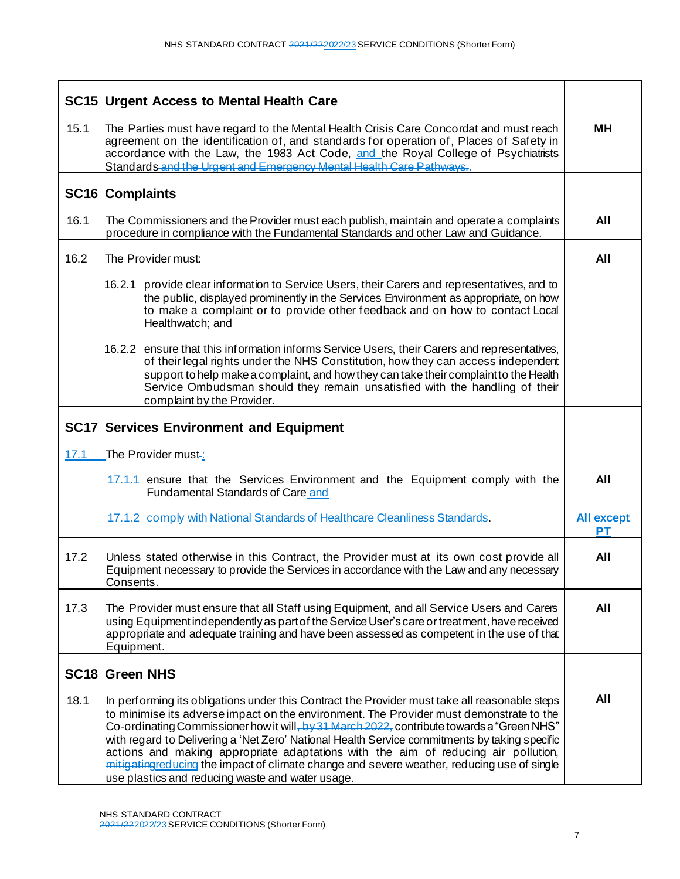|      | <b>SC15 Urgent Access to Mental Health Care</b>                                                                                                                                                                                                                                                                                                                                                                                                                                                                                                                                                                                  |                                |
|------|----------------------------------------------------------------------------------------------------------------------------------------------------------------------------------------------------------------------------------------------------------------------------------------------------------------------------------------------------------------------------------------------------------------------------------------------------------------------------------------------------------------------------------------------------------------------------------------------------------------------------------|--------------------------------|
| 15.1 | The Parties must have regard to the Mental Health Crisis Care Concordat and must reach<br>agreement on the identification of, and standards for operation of, Places of Safety in<br>accordance with the Law, the 1983 Act Code, and the Royal College of Psychiatrists<br>Standards and the Urgent and Emergency Mental Health Care Pathways                                                                                                                                                                                                                                                                                    |                                |
|      | <b>SC16 Complaints</b>                                                                                                                                                                                                                                                                                                                                                                                                                                                                                                                                                                                                           |                                |
| 16.1 | The Commissioners and the Provider must each publish, maintain and operate a complaints<br>procedure in compliance with the Fundamental Standards and other Law and Guidance.                                                                                                                                                                                                                                                                                                                                                                                                                                                    | All                            |
| 16.2 | The Provider must:                                                                                                                                                                                                                                                                                                                                                                                                                                                                                                                                                                                                               | All                            |
|      | 16.2.1 provide clear information to Service Users, their Carers and representatives, and to<br>the public, displayed prominently in the Services Environment as appropriate, on how<br>to make a complaint or to provide other feedback and on how to contact Local<br>Healthwatch; and                                                                                                                                                                                                                                                                                                                                          |                                |
|      | 16.2.2 ensure that this information informs Service Users, their Carers and representatives,<br>of their legal rights under the NHS Constitution, how they can access independent<br>support to help make a complaint, and how they can take their complaint to the Health<br>Service Ombudsman should they remain unsatisfied with the handling of their<br>complaint by the Provider.                                                                                                                                                                                                                                          |                                |
|      | <b>SC17 Services Environment and Equipment</b>                                                                                                                                                                                                                                                                                                                                                                                                                                                                                                                                                                                   |                                |
| 17.1 | The Provider must-:                                                                                                                                                                                                                                                                                                                                                                                                                                                                                                                                                                                                              |                                |
|      | 17.1.1 ensure that the Services Environment and the Equipment comply with the<br>Fundamental Standards of Care and                                                                                                                                                                                                                                                                                                                                                                                                                                                                                                               | All                            |
|      | 17.1.2 comply with National Standards of Healthcare Cleanliness Standards.                                                                                                                                                                                                                                                                                                                                                                                                                                                                                                                                                       | <b>All except</b><br><b>PT</b> |
| 17.2 | Unless stated otherwise in this Contract, the Provider must at its own cost provide all<br>Equipment necessary to provide the Services in accordance with the Law and any necessary<br>Consents.                                                                                                                                                                                                                                                                                                                                                                                                                                 | All                            |
| 17.3 | The Provider must ensure that all Staff using Equipment, and all Service Users and Carers<br>using Equipment independently as part of the Service User's care or treatment, have received<br>appropriate and adequate training and have been assessed as competent in the use of that<br>Equipment.                                                                                                                                                                                                                                                                                                                              | All                            |
|      | <b>SC18 Green NHS</b>                                                                                                                                                                                                                                                                                                                                                                                                                                                                                                                                                                                                            |                                |
| 18.1 | In performing its obligations under this Contract the Provider must take all reasonable steps<br>to minimise its adverse impact on the environment. The Provider must demonstrate to the<br>Co-ordinating Commissioner how it will, by 31 March 2022, contribute towards a "Green NHS"<br>with regard to Delivering a 'Net Zero' National Health Service commitments by taking specific<br>actions and making appropriate adaptations with the aim of reducing air pollution,<br>mitigating reducing the impact of climate change and severe weather, reducing use of single<br>use plastics and reducing waste and water usage. | All                            |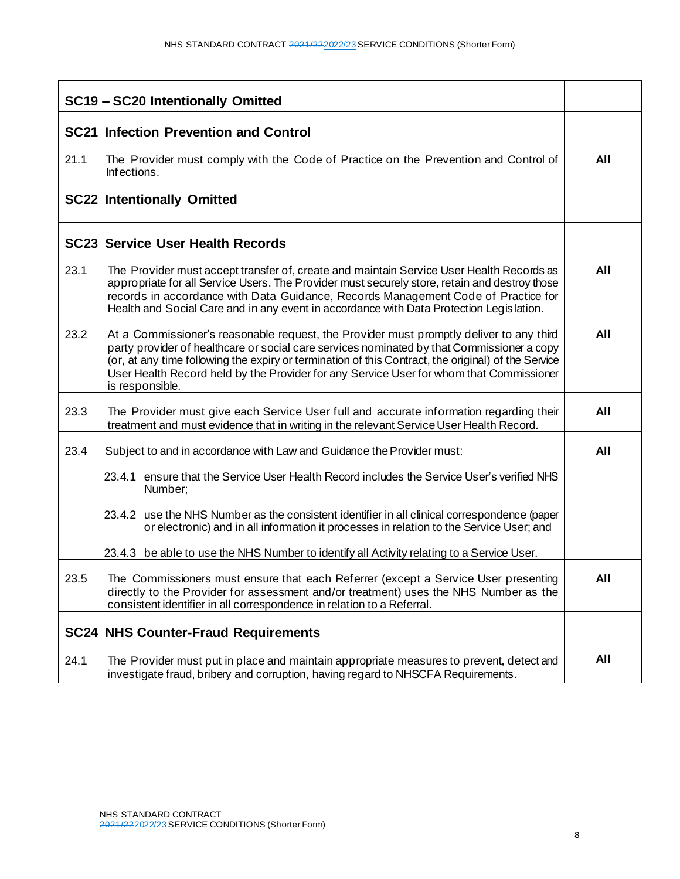|      | SC19 - SC20 Intentionally Omitted                                                                                                                                                                                                                                                                                                                                                                          |     |
|------|------------------------------------------------------------------------------------------------------------------------------------------------------------------------------------------------------------------------------------------------------------------------------------------------------------------------------------------------------------------------------------------------------------|-----|
|      | <b>SC21 Infection Prevention and Control</b>                                                                                                                                                                                                                                                                                                                                                               |     |
| 21.1 | The Provider must comply with the Code of Practice on the Prevention and Control of<br>Infections.                                                                                                                                                                                                                                                                                                         | All |
|      | <b>SC22 Intentionally Omitted</b>                                                                                                                                                                                                                                                                                                                                                                          |     |
|      | <b>SC23 Service User Health Records</b>                                                                                                                                                                                                                                                                                                                                                                    |     |
| 23.1 | The Provider must accept transfer of, create and maintain Service User Health Records as<br>appropriate for all Service Users. The Provider must securely store, retain and destroy those<br>records in accordance with Data Guidance, Records Management Code of Practice for<br>Health and Social Care and in any event in accordance with Data Protection Legislation.                                  | All |
| 23.2 | At a Commissioner's reasonable request, the Provider must promptly deliver to any third<br>party provider of healthcare or social care services nominated by that Commissioner a copy<br>(or, at any time following the expiry or termination of this Contract, the original) of the Service<br>User Health Record held by the Provider for any Service User for whom that Commissioner<br>is responsible. | All |
| 23.3 | The Provider must give each Service User full and accurate information regarding their<br>treatment and must evidence that in writing in the relevant Service User Health Record.                                                                                                                                                                                                                          | All |
| 23.4 | Subject to and in accordance with Law and Guidance the Provider must:                                                                                                                                                                                                                                                                                                                                      | All |
|      | ensure that the Service User Health Record includes the Service User's verified NHS<br>23.4.1<br>Number;                                                                                                                                                                                                                                                                                                   |     |
|      | 23.4.2 use the NHS Number as the consistent identifier in all clinical correspondence (paper<br>or electronic) and in all information it processes in relation to the Service User; and                                                                                                                                                                                                                    |     |
|      | 23.4.3 be able to use the NHS Number to identify all Activity relating to a Service User.                                                                                                                                                                                                                                                                                                                  |     |
| 23.5 | The Commissioners must ensure that each Referrer (except a Service User presenting<br>directly to the Provider for assessment and/or treatment) uses the NHS Number as the<br>consistent identifier in all correspondence in relation to a Referral.                                                                                                                                                       | All |
|      | <b>SC24 NHS Counter-Fraud Requirements</b>                                                                                                                                                                                                                                                                                                                                                                 |     |
| 24.1 | The Provider must put in place and maintain appropriate measures to prevent, detect and<br>investigate fraud, bribery and corruption, having regard to NHSCFA Requirements.                                                                                                                                                                                                                                | All |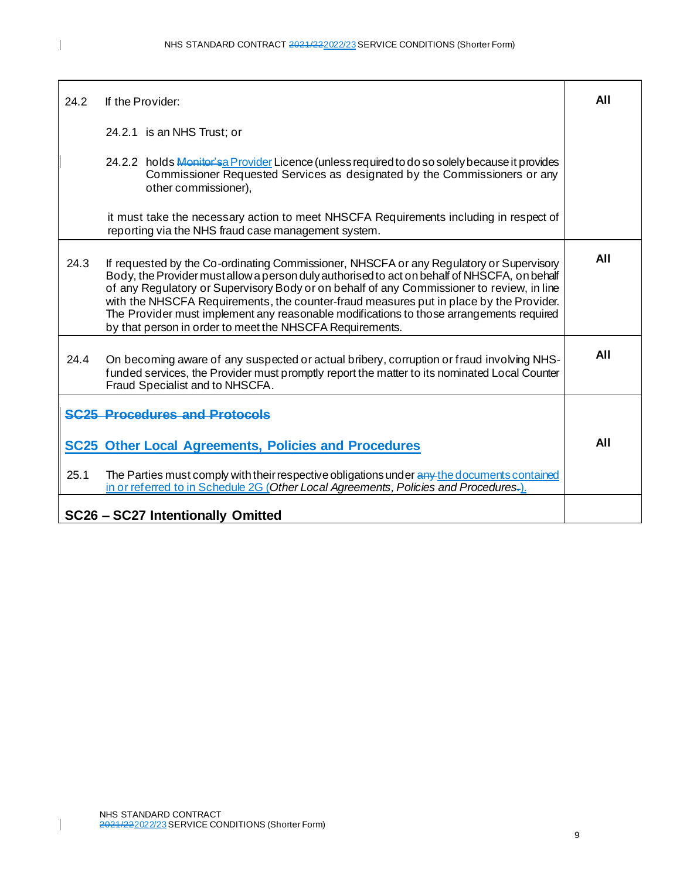| 24.2 | If the Provider:                                                                                                                                                                                                                                                                                                                                                                                                                                                                                                                     | All |
|------|--------------------------------------------------------------------------------------------------------------------------------------------------------------------------------------------------------------------------------------------------------------------------------------------------------------------------------------------------------------------------------------------------------------------------------------------------------------------------------------------------------------------------------------|-----|
|      | 24.2.1 is an NHS Trust; or                                                                                                                                                                                                                                                                                                                                                                                                                                                                                                           |     |
|      | 24.2.2 holds Monitor's a Provider Licence (unless required to do so solely because it provides<br>Commissioner Requested Services as designated by the Commissioners or any<br>other commissioner),                                                                                                                                                                                                                                                                                                                                  |     |
|      | it must take the necessary action to meet NHSCFA Requirements including in respect of<br>reporting via the NHS fraud case management system.                                                                                                                                                                                                                                                                                                                                                                                         |     |
| 24.3 | If requested by the Co-ordinating Commissioner, NHSCFA or any Regulatory or Supervisory<br>Body, the Provider mustallow a person duly authorised to act on behalf of NHSCFA, on behalf<br>of any Regulatory or Supervisory Body or on behalf of any Commissioner to review, in line<br>with the NHSCFA Requirements, the counter-fraud measures put in place by the Provider.<br>The Provider must implement any reasonable modifications to those arrangements required<br>by that person in order to meet the NHSCFA Requirements. | All |
| 24.4 | On becoming aware of any suspected or actual bribery, corruption or fraud involving NHS-<br>funded services, the Provider must promptly report the matter to its nominated Local Counter<br>Fraud Specialist and to NHSCFA.                                                                                                                                                                                                                                                                                                          | All |
|      | <b>SC25 Procedures and Protocols</b>                                                                                                                                                                                                                                                                                                                                                                                                                                                                                                 |     |
|      | <b>SC25 Other Local Agreements, Policies and Procedures</b>                                                                                                                                                                                                                                                                                                                                                                                                                                                                          | All |
| 25.1 | The Parties must comply with their respective obligations under any the documents contained<br>in or referred to in Schedule 2G (Other Local Agreements, Policies and Procedures.)                                                                                                                                                                                                                                                                                                                                                   |     |
|      | SC26 - SC27 Intentionally Omitted                                                                                                                                                                                                                                                                                                                                                                                                                                                                                                    |     |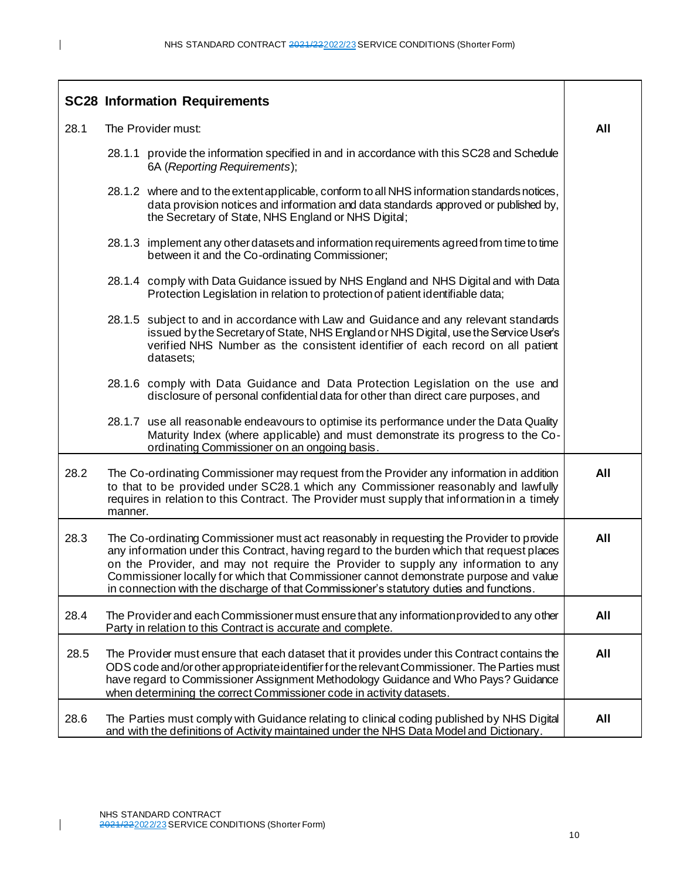|      | <b>SC28 Information Requirements</b>                                                                                                                                                                                                                                                                                                                                                                                                                             |     |
|------|------------------------------------------------------------------------------------------------------------------------------------------------------------------------------------------------------------------------------------------------------------------------------------------------------------------------------------------------------------------------------------------------------------------------------------------------------------------|-----|
| 28.1 | The Provider must:                                                                                                                                                                                                                                                                                                                                                                                                                                               | All |
|      | 28.1.1 provide the information specified in and in accordance with this SC28 and Schedule<br>6A (Reporting Requirements);                                                                                                                                                                                                                                                                                                                                        |     |
|      | 28.1.2 where and to the extent applicable, conform to all NHS information standards notices,<br>data provision notices and information and data standards approved or published by,<br>the Secretary of State, NHS England or NHS Digital;                                                                                                                                                                                                                       |     |
|      | 28.1.3 implement any other datasets and information requirements agreed from time to time<br>between it and the Co-ordinating Commissioner;                                                                                                                                                                                                                                                                                                                      |     |
|      | 28.1.4 comply with Data Guidance issued by NHS England and NHS Digital and with Data<br>Protection Legislation in relation to protection of patient identifiable data;                                                                                                                                                                                                                                                                                           |     |
|      | 28.1.5 subject to and in accordance with Law and Guidance and any relevant standards<br>issued by the Secretary of State, NHS England or NHS Digital, use the Service User's<br>verified NHS Number as the consistent identifier of each record on all patient<br>datasets;                                                                                                                                                                                      |     |
|      | 28.1.6 comply with Data Guidance and Data Protection Legislation on the use and<br>disclosure of personal confidential data for other than direct care purposes, and                                                                                                                                                                                                                                                                                             |     |
|      | 28.1.7 use all reasonable endeavours to optimise its performance under the Data Quality<br>Maturity Index (where applicable) and must demonstrate its progress to the Co-<br>ordinating Commissioner on an ongoing basis.                                                                                                                                                                                                                                        |     |
| 28.2 | The Co-ordinating Commissioner may request from the Provider any information in addition<br>to that to be provided under SC28.1 which any Commissioner reasonably and lawfully<br>requires in relation to this Contract. The Provider must supply that information in a timely<br>manner.                                                                                                                                                                        | All |
| 28.3 | The Co-ordinating Commissioner must act reasonably in requesting the Provider to provide<br>any information under this Contract, having regard to the burden which that request places<br>on the Provider, and may not require the Provider to supply any information to any<br>Commissioner locally for which that Commissioner cannot demonstrate purpose and value<br>in connection with the discharge of that Commissioner's statutory duties and functions. | All |
| 28.4 | The Provider and each Commissioner must ensure that any information provided to any other<br>Party in relation to this Contract is accurate and complete.                                                                                                                                                                                                                                                                                                        | All |
| 28.5 | The Provider must ensure that each dataset that it provides under this Contract contains the<br>ODS code and/or other appropriate identifier for the relevant Commissioner. The Parties must<br>have regard to Commissioner Assignment Methodology Guidance and Who Pays? Guidance<br>when determining the correct Commissioner code in activity datasets.                                                                                                       | All |
| 28.6 | The Parties must comply with Guidance relating to clinical coding published by NHS Digital<br>and with the definitions of Activity maintained under the NHS Data Model and Dictionary.                                                                                                                                                                                                                                                                           | All |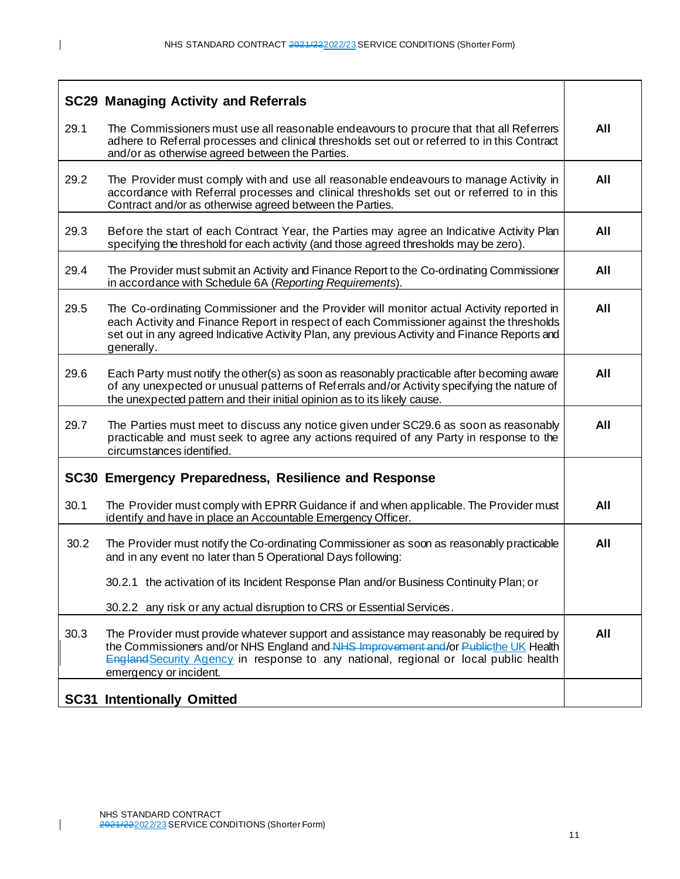|      | <b>SC29 Managing Activity and Referrals</b>                                                                                                                                                                                                                                                             |     |
|------|---------------------------------------------------------------------------------------------------------------------------------------------------------------------------------------------------------------------------------------------------------------------------------------------------------|-----|
| 29.1 | The Commissioners must use all reasonable endeavours to procure that that all Referrers<br>adhere to Referral processes and clinical thresholds set out or referred to in this Contract<br>and/or as otherwise agreed between the Parties.                                                              | All |
| 29.2 | The Provider must comply with and use all reasonable endeavours to manage Activity in<br>accordance with Referral processes and clinical thresholds set out or referred to in this<br>Contract and/or as otherwise agreed between the Parties.                                                          | All |
| 29.3 | Before the start of each Contract Year, the Parties may agree an Indicative Activity Plan<br>specifying the threshold for each activity (and those agreed thresholds may be zero).                                                                                                                      | All |
| 29.4 | The Provider must submit an Activity and Finance Report to the Co-ordinating Commissioner<br>in accordance with Schedule 6A (Reporting Requirements).                                                                                                                                                   | All |
| 29.5 | The Co-ordinating Commissioner and the Provider will monitor actual Activity reported in<br>each Activity and Finance Report in respect of each Commissioner against the thresholds<br>set out in any agreed Indicative Activity Plan, any previous Activity and Finance Reports and<br>generally.      | All |
| 29.6 | Each Party must notify the other(s) as soon as reasonably practicable after becoming aware<br>of any unexpected or unusual patterns of Referrals and/or Activity specifying the nature of<br>the unexpected pattern and their initial opinion as to its likely cause.                                   | All |
| 29.7 | The Parties must meet to discuss any notice given under SC29.6 as soon as reasonably<br>practicable and must seek to agree any actions required of any Party in response to the<br>circumstances identified.                                                                                            | All |
|      | SC30 Emergency Preparedness, Resilience and Response                                                                                                                                                                                                                                                    |     |
| 30.1 | The Provider must comply with EPRR Guidance if and when applicable. The Provider must<br>identify and have in place an Accountable Emergency Officer.                                                                                                                                                   | All |
| 30.2 | The Provider must notify the Co-ordinating Commissioner as soon as reasonably practicable<br>and in any event no later than 5 Operational Days following:                                                                                                                                               | All |
|      | 30.2.1 the activation of its Incident Response Plan and/or Business Continuity Plan; or                                                                                                                                                                                                                 |     |
|      | 30.2.2 any risk or any actual disruption to CRS or Essential Services.                                                                                                                                                                                                                                  |     |
| 30.3 | The Provider must provide whatever support and assistance may reasonably be required by<br>the Commissioners and/or NHS England and NHS Improvement and/or Publicthe UK Health<br><b>England Security Agency in response to any national, regional or local public health</b><br>emergency or incident. | All |
|      | <b>SC31 Intentionally Omitted</b>                                                                                                                                                                                                                                                                       |     |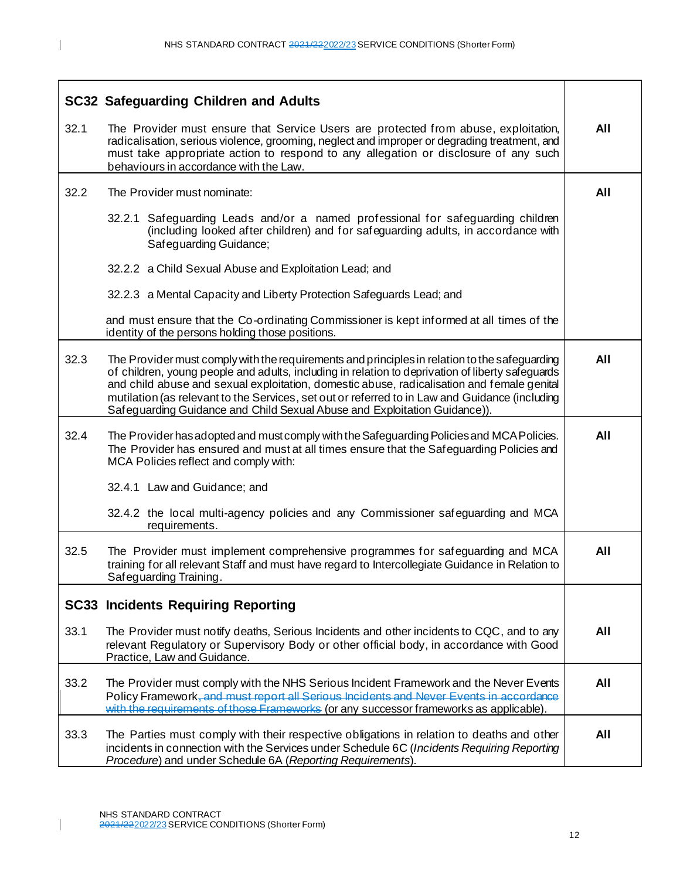|      | <b>SC32 Safeguarding Children and Adults</b>                                                                                                                                                                                                                                                                                                                                                                                                                                   |     |
|------|--------------------------------------------------------------------------------------------------------------------------------------------------------------------------------------------------------------------------------------------------------------------------------------------------------------------------------------------------------------------------------------------------------------------------------------------------------------------------------|-----|
| 32.1 | The Provider must ensure that Service Users are protected from abuse, exploitation,<br>radicalisation, serious violence, grooming, neglect and improper or degrading treatment, and<br>must take appropriate action to respond to any allegation or disclosure of any such<br>behaviours in accordance with the Law.                                                                                                                                                           | All |
| 32.2 | The Provider must nominate:                                                                                                                                                                                                                                                                                                                                                                                                                                                    | All |
|      | 32.2.1 Safeguarding Leads and/or a named professional for safeguarding children<br>(including looked after children) and for safeguarding adults, in accordance with<br>Safeguarding Guidance;                                                                                                                                                                                                                                                                                 |     |
|      | 32.2.2 a Child Sexual Abuse and Exploitation Lead; and                                                                                                                                                                                                                                                                                                                                                                                                                         |     |
|      | 32.2.3 a Mental Capacity and Liberty Protection Safeguards Lead; and                                                                                                                                                                                                                                                                                                                                                                                                           |     |
|      | and must ensure that the Co-ordinating Commissioner is kept informed at all times of the<br>identity of the persons holding those positions.                                                                                                                                                                                                                                                                                                                                   |     |
| 32.3 | The Provider must comply with the requirements and principles in relation to the safeguarding<br>of children, young people and adults, including in relation to deprivation of liberty safeguards<br>and child abuse and sexual exploitation, domestic abuse, radicalisation and female genital<br>mutilation (as relevant to the Services, set out or referred to in Law and Guidance (including<br>Safeguarding Guidance and Child Sexual Abuse and Exploitation Guidance)). | All |
| 32.4 | The Provider has adopted and must comply with the Safeguarding Policies and MCA Policies.<br>The Provider has ensured and must at all times ensure that the Safeguarding Policies and<br>MCA Policies reflect and comply with:                                                                                                                                                                                                                                                 | All |
|      | 32.4.1 Law and Guidance; and                                                                                                                                                                                                                                                                                                                                                                                                                                                   |     |
|      | 32.4.2 the local multi-agency policies and any Commissioner safeguarding and MCA<br>requirements.                                                                                                                                                                                                                                                                                                                                                                              |     |
| 32.5 | The Provider must implement comprehensive programmes for safeguarding and MCA<br>training for all relevant Staff and must have regard to Intercollegiate Guidance in Relation to<br>Safeguarding Training.                                                                                                                                                                                                                                                                     | All |
|      | <b>SC33 Incidents Requiring Reporting</b>                                                                                                                                                                                                                                                                                                                                                                                                                                      |     |
| 33.1 | The Provider must notify deaths, Serious Incidents and other incidents to CQC, and to any<br>relevant Regulatory or Supervisory Body or other official body, in accordance with Good<br>Practice, Law and Guidance.                                                                                                                                                                                                                                                            | All |
| 33.2 | The Provider must comply with the NHS Serious Incident Framework and the Never Events<br>Policy Framework, and must report all Serious Incidents and Never Events in accordance<br>with the requirements of those Frameworks (or any successor frameworks as applicable)                                                                                                                                                                                                       | All |
| 33.3 | The Parties must comply with their respective obligations in relation to deaths and other<br>incidents in connection with the Services under Schedule 6C (Incidents Requiring Reporting<br>Procedure) and under Schedule 6A (Reporting Requirements).                                                                                                                                                                                                                          | All |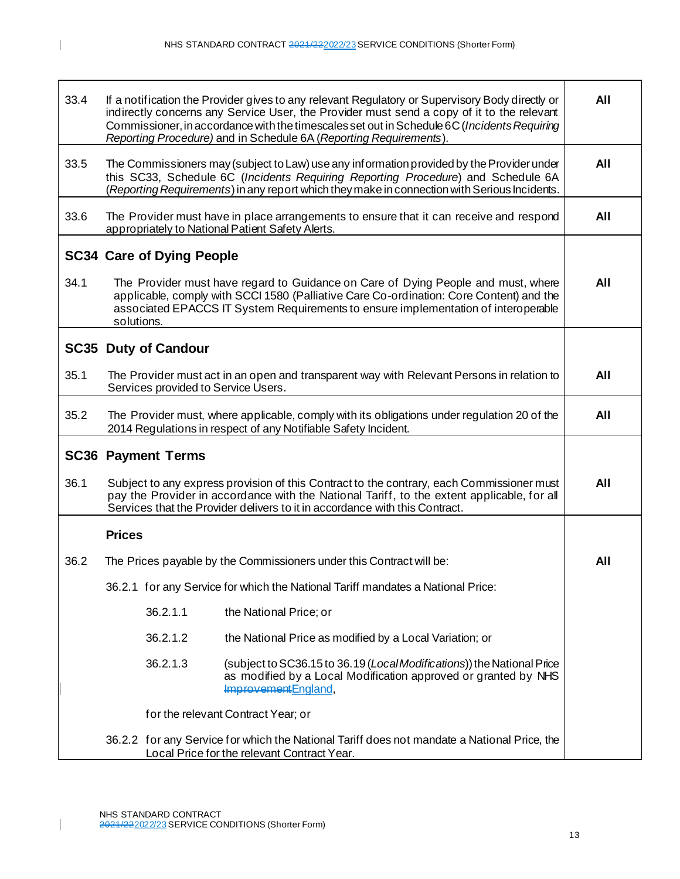| 33.4 | If a notification the Provider gives to any relevant Regulatory or Supervisory Body directly or<br>indirectly concerns any Service User, the Provider must send a copy of it to the relevant<br>Commissioner, in accordance with the timescales set out in Schedule 6C (Incidents Requiring<br>Reporting Procedure) and in Schedule 6A (Reporting Requirements). |     |  |  |  |
|------|------------------------------------------------------------------------------------------------------------------------------------------------------------------------------------------------------------------------------------------------------------------------------------------------------------------------------------------------------------------|-----|--|--|--|
| 33.5 | The Commissioners may (subject to Law) use any information provided by the Provider under<br>this SC33, Schedule 6C (Incidents Requiring Reporting Procedure) and Schedule 6A<br>(Reporting Requirements) in any report which they make in connection with Serious Incidents.                                                                                    | All |  |  |  |
| 33.6 | The Provider must have in place arrangements to ensure that it can receive and respond<br>appropriately to National Patient Safety Alerts.                                                                                                                                                                                                                       | All |  |  |  |
|      | <b>SC34 Care of Dying People</b>                                                                                                                                                                                                                                                                                                                                 |     |  |  |  |
| 34.1 | The Provider must have regard to Guidance on Care of Dying People and must, where<br>applicable, comply with SCCI 1580 (Palliative Care Co-ordination: Core Content) and the<br>associated EPACCS IT System Requirements to ensure implementation of interoperable<br>solutions.                                                                                 |     |  |  |  |
|      | <b>SC35 Duty of Candour</b>                                                                                                                                                                                                                                                                                                                                      |     |  |  |  |
| 35.1 | The Provider must act in an open and transparent way with Relevant Persons in relation to<br>Services provided to Service Users.                                                                                                                                                                                                                                 | All |  |  |  |
| 35.2 | The Provider must, where applicable, comply with its obligations under regulation 20 of the<br>2014 Regulations in respect of any Notifiable Safety Incident.                                                                                                                                                                                                    |     |  |  |  |
|      | <b>SC36 Payment Terms</b>                                                                                                                                                                                                                                                                                                                                        |     |  |  |  |
| 36.1 | Subject to any express provision of this Contract to the contrary, each Commissioner must<br>pay the Provider in accordance with the National Tariff, to the extent applicable, for all<br>Services that the Provider delivers to it in accordance with this Contract.                                                                                           |     |  |  |  |
|      | <b>Prices</b>                                                                                                                                                                                                                                                                                                                                                    |     |  |  |  |
| 36.2 | The Prices payable by the Commissioners under this Contract will be:                                                                                                                                                                                                                                                                                             | All |  |  |  |
|      | 36.2.1 for any Service for which the National Tariff mandates a National Price:                                                                                                                                                                                                                                                                                  |     |  |  |  |
|      | 36.2.1.1<br>the National Price; or                                                                                                                                                                                                                                                                                                                               |     |  |  |  |
|      | 36.2.1.2<br>the National Price as modified by a Local Variation; or                                                                                                                                                                                                                                                                                              |     |  |  |  |
|      | 36.2.1.3<br>(subject to SC36.15 to 36.19 (LocalModifications)) the National Price<br>as modified by a Local Modification approved or granted by NHS<br>Improvement England,                                                                                                                                                                                      |     |  |  |  |
|      | for the relevant Contract Year; or                                                                                                                                                                                                                                                                                                                               |     |  |  |  |
|      | 36.2.2 for any Service for which the National Tariff does not mandate a National Price, the<br>Local Price for the relevant Contract Year.                                                                                                                                                                                                                       |     |  |  |  |

 $\mathbf{I}$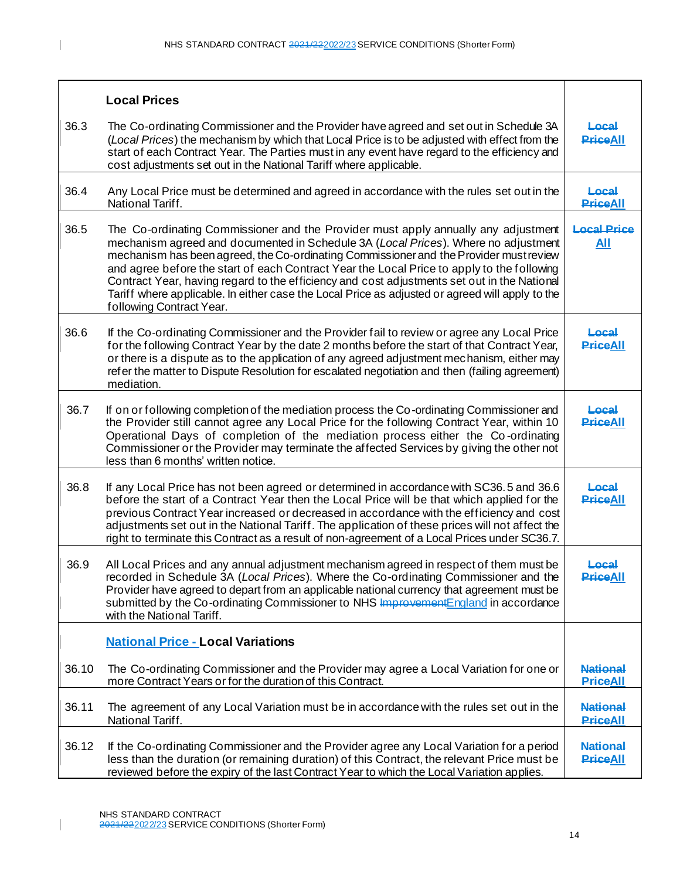|       | <b>Local Prices</b>                                                                                                                                                                                                                                                                                                                                                                                                                                                                                                                                                                            |                                    |
|-------|------------------------------------------------------------------------------------------------------------------------------------------------------------------------------------------------------------------------------------------------------------------------------------------------------------------------------------------------------------------------------------------------------------------------------------------------------------------------------------------------------------------------------------------------------------------------------------------------|------------------------------------|
| 36.3  | The Co-ordinating Commissioner and the Provider have agreed and set out in Schedule 3A<br>(Local Prices) the mechanism by which that Local Price is to be adjusted with effect from the<br>start of each Contract Year. The Parties must in any event have regard to the efficiency and<br>cost adjustments set out in the National Tariff where applicable.                                                                                                                                                                                                                                   | Local<br><b>PriceAll</b>           |
| 36.4  | Any Local Price must be determined and agreed in accordance with the rules set out in the<br>National Tariff.                                                                                                                                                                                                                                                                                                                                                                                                                                                                                  | Local<br><b>PriceAll</b>           |
| 36.5  | The Co-ordinating Commissioner and the Provider must apply annually any adjustment<br>mechanism agreed and documented in Schedule 3A (Local Prices). Where no adjustment<br>mechanism has been agreed, the Co-ordinating Commissioner and the Provider must review<br>and agree before the start of each Contract Year the Local Price to apply to the following<br>Contract Year, having regard to the efficiency and cost adjustments set out in the National<br>Tariff where applicable. In either case the Local Price as adjusted or agreed will apply to the<br>following Contract Year. | <b>Local Price</b><br><u>All</u>   |
| 36.6  | If the Co-ordinating Commissioner and the Provider fail to review or agree any Local Price<br>for the following Contract Year by the date 2 months before the start of that Contract Year,<br>or there is a dispute as to the application of any agreed adjustment mechanism, either may<br>refer the matter to Dispute Resolution for escalated negotiation and then (failing agreement)<br>mediation.                                                                                                                                                                                        | Local<br><b>PriceAll</b>           |
| 36.7  | If on or following completion of the mediation process the Co-ordinating Commissioner and<br>the Provider still cannot agree any Local Price for the following Contract Year, within 10<br>Operational Days of completion of the mediation process either the Co-ordinating<br>Commissioner or the Provider may terminate the affected Services by giving the other not<br>less than 6 months' written notice.                                                                                                                                                                                 | Local<br><b>PriceAll</b>           |
| 36.8  | If any Local Price has not been agreed or determined in accordance with SC36.5 and 36.6<br>before the start of a Contract Year then the Local Price will be that which applied for the<br>previous Contract Year increased or decreased in accordance with the efficiency and cost<br>adjustments set out in the National Tariff. The application of these prices will not affect the<br>right to terminate this Contract as a result of non-agreement of a Local Prices under SC36.7.                                                                                                         | Local<br><b>PriceAll</b>           |
| 36.9  | All Local Prices and any annual adjustment mechanism agreed in respect of them must be<br>recorded in Schedule 3A (Local Prices). Where the Co-ordinating Commissioner and the<br>Provider have agreed to depart from an applicable national currency that agreement must be<br>submitted by the Co-ordinating Commissioner to NHS Improvement England in accordance<br>with the National Tariff.                                                                                                                                                                                              | Local<br><b>PriceAll</b>           |
|       | <b>National Price - Local Variations</b>                                                                                                                                                                                                                                                                                                                                                                                                                                                                                                                                                       |                                    |
| 36.10 | The Co-ordinating Commissioner and the Provider may agree a Local Variation for one or<br>more Contract Years or for the duration of this Contract.                                                                                                                                                                                                                                                                                                                                                                                                                                            | <b>National</b><br><b>PriceAll</b> |
| 36.11 | The agreement of any Local Variation must be in accordance with the rules set out in the<br>National Tariff.                                                                                                                                                                                                                                                                                                                                                                                                                                                                                   | <b>National</b><br><b>PriceAll</b> |
| 36.12 | If the Co-ordinating Commissioner and the Provider agree any Local Variation for a period<br>less than the duration (or remaining duration) of this Contract, the relevant Price must be<br>reviewed before the expiry of the last Contract Year to which the Local Variation applies.                                                                                                                                                                                                                                                                                                         | <b>National</b><br><b>PriceAll</b> |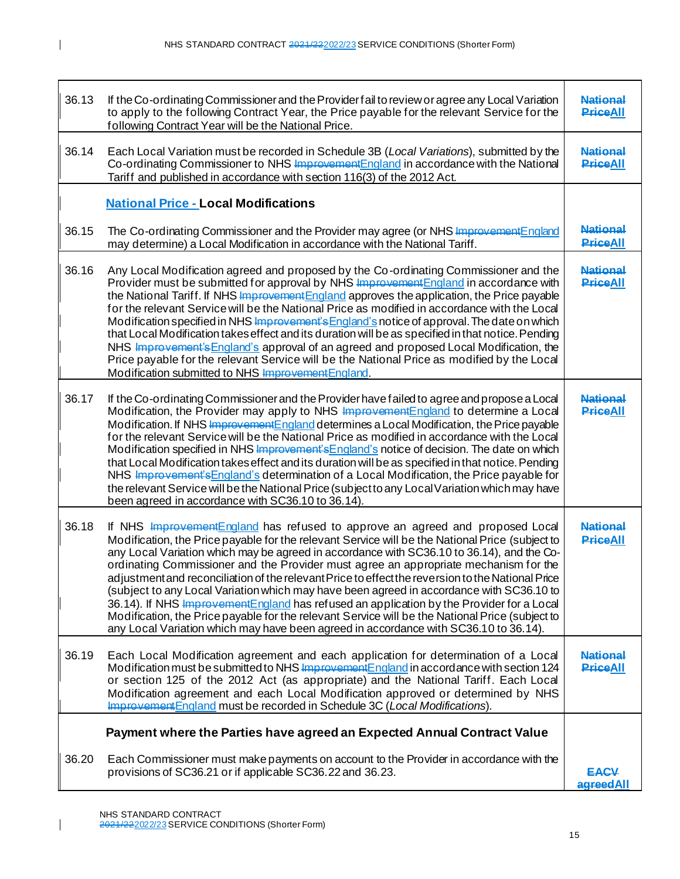| 36.13 | If the Co-ordinating Commissioner and the Provider fail to review or agree any Local Variation<br>to apply to the following Contract Year, the Price payable for the relevant Service for the<br>following Contract Year will be the National Price.                                                                                                                                                                                                                                                                                                                                                                                                                                                                                                                                                                                                            | <b>National</b><br><b>PriceAll</b> |
|-------|-----------------------------------------------------------------------------------------------------------------------------------------------------------------------------------------------------------------------------------------------------------------------------------------------------------------------------------------------------------------------------------------------------------------------------------------------------------------------------------------------------------------------------------------------------------------------------------------------------------------------------------------------------------------------------------------------------------------------------------------------------------------------------------------------------------------------------------------------------------------|------------------------------------|
| 36.14 | Each Local Variation must be recorded in Schedule 3B (Local Variations), submitted by the<br>Co-ordinating Commissioner to NHS Improvement England in accordance with the National<br>Tariff and published in accordance with section 116(3) of the 2012 Act.                                                                                                                                                                                                                                                                                                                                                                                                                                                                                                                                                                                                   | <b>National</b><br><b>PriceAll</b> |
|       | <b>National Price - Local Modifications</b>                                                                                                                                                                                                                                                                                                                                                                                                                                                                                                                                                                                                                                                                                                                                                                                                                     |                                    |
| 36.15 | The Co-ordinating Commissioner and the Provider may agree (or NHS Improvement England<br>may determine) a Local Modification in accordance with the National Tariff.                                                                                                                                                                                                                                                                                                                                                                                                                                                                                                                                                                                                                                                                                            | <b>National</b><br><b>PriceAll</b> |
| 36.16 | Any Local Modification agreed and proposed by the Co-ordinating Commissioner and the<br>Provider must be submitted for approval by NHS <b>Improvement</b> England in accordance with<br>the National Tariff. If NHS Improvement England approves the application, the Price payable<br>for the relevant Service will be the National Price as modified in accordance with the Local<br>Modification specified in NHS Improvement's England's notice of approval. The date on which<br>that Local Modification takes effect and its duration will be as specified in that notice. Pending<br>NHS Improvement's England's approval of an agreed and proposed Local Modification, the<br>Price payable for the relevant Service will be the National Price as modified by the Local<br>Modification submitted to NHS Improvement England.                          | <b>National</b><br><b>PriceAll</b> |
| 36.17 | If the Co-ordinating Commissioner and the Provider have failed to agree and propose a Local<br>Modification, the Provider may apply to NHS Improvement England to determine a Local<br>Modification. If NHS Improvement England determines a Local Modification, the Price payable<br>for the relevant Service will be the National Price as modified in accordance with the Local<br>Modification specified in NHS Improvement's England's notice of decision. The date on which<br>that Local Modification takes effect and its duration will be as specified in that notice. Pending<br>NHS Improvement's England's determination of a Local Modification, the Price payable for<br>the relevant Service will be the National Price (subject to any Local Variation which may have<br>been agreed in accordance with SC36.10 to 36.14).                      | <b>National</b><br><b>PriceAll</b> |
| 36.18 | If NHS Improvement England has refused to approve an agreed and proposed Local<br>Modification, the Price payable for the relevant Service will be the National Price (subject to<br>any Local Variation which may be agreed in accordance with SC36.10 to 36.14), and the Co-<br>ordinating Commissioner and the Provider must agree an appropriate mechanism for the<br>adjustment and reconciliation of the relevant Price to effect the reversion to the National Price<br>(subject to any Local Variation which may have been agreed in accordance with SC36.10 to<br>36.14). If NHS Improvement England has refused an application by the Provider for a Local<br>Modification, the Price payable for the relevant Service will be the National Price (subject to<br>any Local Variation which may have been agreed in accordance with SC36.10 to 36.14). | <b>National</b><br><b>PriceAll</b> |
| 36.19 | Each Local Modification agreement and each application for determination of a Local<br>Modification must be submitted to NHS Improvement England in accordance with section 124<br>or section 125 of the 2012 Act (as appropriate) and the National Tariff. Each Local<br>Modification agreement and each Local Modification approved or determined by NHS<br>Improvement England must be recorded in Schedule 3C (Local Modifications).                                                                                                                                                                                                                                                                                                                                                                                                                        | <b>National</b><br><b>PriceAll</b> |
|       | Payment where the Parties have agreed an Expected Annual Contract Value                                                                                                                                                                                                                                                                                                                                                                                                                                                                                                                                                                                                                                                                                                                                                                                         |                                    |
| 36.20 | Each Commissioner must make payments on account to the Provider in accordance with the<br>provisions of SC36.21 or if applicable SC36.22 and 36.23.                                                                                                                                                                                                                                                                                                                                                                                                                                                                                                                                                                                                                                                                                                             | <b>EACV</b><br>agreedAll           |

15

 $\mathbf{I}$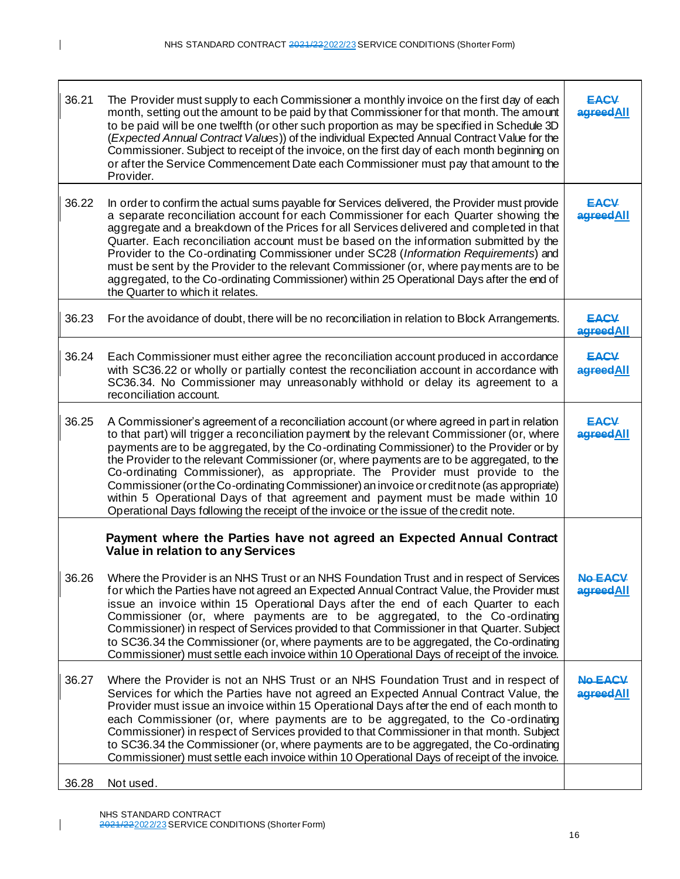| 36.21 | The Provider must supply to each Commissioner a monthly invoice on the first day of each<br>month, setting out the amount to be paid by that Commissioner for that month. The amount<br>to be paid will be one twelfth (or other such proportion as may be specified in Schedule 3D<br>(Expected Annual Contract Values)) of the individual Expected Annual Contract Value for the<br>Commissioner. Subject to receipt of the invoice, on the first day of each month beginning on<br>or after the Service Commencement Date each Commissioner must pay that amount to the<br>Provider.                                                                                                                                                         | <b>EACV</b><br>agreedAll    |
|-------|-------------------------------------------------------------------------------------------------------------------------------------------------------------------------------------------------------------------------------------------------------------------------------------------------------------------------------------------------------------------------------------------------------------------------------------------------------------------------------------------------------------------------------------------------------------------------------------------------------------------------------------------------------------------------------------------------------------------------------------------------|-----------------------------|
| 36.22 | In order to confirm the actual sums payable for Services delivered, the Provider must provide<br>a separate reconciliation account for each Commissioner for each Quarter showing the<br>aggregate and a breakdown of the Prices for all Services delivered and completed in that<br>Quarter. Each reconciliation account must be based on the information submitted by the<br>Provider to the Co-ordinating Commissioner under SC28 (Information Requirements) and<br>must be sent by the Provider to the relevant Commissioner (or, where payments are to be<br>aggregated, to the Co-ordinating Commissioner) within 25 Operational Days after the end of<br>the Quarter to which it relates.                                                | <b>EACV</b><br>agreedAll    |
| 36.23 | For the avoidance of doubt, there will be no reconciliation in relation to Block Arrangements.                                                                                                                                                                                                                                                                                                                                                                                                                                                                                                                                                                                                                                                  | <b>EACV</b><br>agreedAll    |
| 36.24 | Each Commissioner must either agree the reconciliation account produced in accordance<br>with SC36.22 or wholly or partially contest the reconciliation account in accordance with<br>SC36.34. No Commissioner may unreasonably withhold or delay its agreement to a<br>reconciliation account.                                                                                                                                                                                                                                                                                                                                                                                                                                                 | <b>EACV</b><br>agreedAll    |
| 36.25 | A Commissioner's agreement of a reconciliation account (or where agreed in part in relation<br>to that part) will trigger a reconciliation payment by the relevant Commissioner (or, where<br>payments are to be aggregated, by the Co-ordinating Commissioner) to the Provider or by<br>the Provider to the relevant Commissioner (or, where payments are to be aggregated, to the<br>Co-ordinating Commissioner), as appropriate. The Provider must provide to the<br>Commissioner (or the Co-ordinating Commissioner) an invoice or credit note (as appropriate)<br>within 5 Operational Days of that agreement and payment must be made within 10<br>Operational Days following the receipt of the invoice or the issue of the credit note. | <b>EACV</b><br>agreedAll    |
|       | Payment where the Parties have not agreed an Expected Annual Contract<br>Value in relation to any Services                                                                                                                                                                                                                                                                                                                                                                                                                                                                                                                                                                                                                                      |                             |
| 36.26 | Where the Provider is an NHS Trust or an NHS Foundation Trust and in respect of Services<br>for which the Parties have not agreed an Expected Annual Contract Value, the Provider must<br>issue an invoice within 15 Operational Days after the end of each Quarter to each<br>Commissioner (or, where payments are to be aggregated, to the Co-ordinating<br>Commissioner) in respect of Services provided to that Commissioner in that Quarter. Subject<br>to SC36.34 the Commissioner (or, where payments are to be aggregated, the Co-ordinating<br>Commissioner) must settle each invoice within 10 Operational Days of receipt of the invoice.                                                                                            | <b>No EACV</b><br>agreedAll |
| 36.27 | Where the Provider is not an NHS Trust or an NHS Foundation Trust and in respect of<br>Services for which the Parties have not agreed an Expected Annual Contract Value, the<br>Provider must issue an invoice within 15 Operational Days after the end of each month to<br>each Commissioner (or, where payments are to be aggregated, to the Co-ordinating<br>Commissioner) in respect of Services provided to that Commissioner in that month. Subject<br>to SC36.34 the Commissioner (or, where payments are to be aggregated, the Co-ordinating<br>Commissioner) must settle each invoice within 10 Operational Days of receipt of the invoice.                                                                                            | <b>No EACV</b><br>agreedAll |
| 36.28 | Not used.                                                                                                                                                                                                                                                                                                                                                                                                                                                                                                                                                                                                                                                                                                                                       |                             |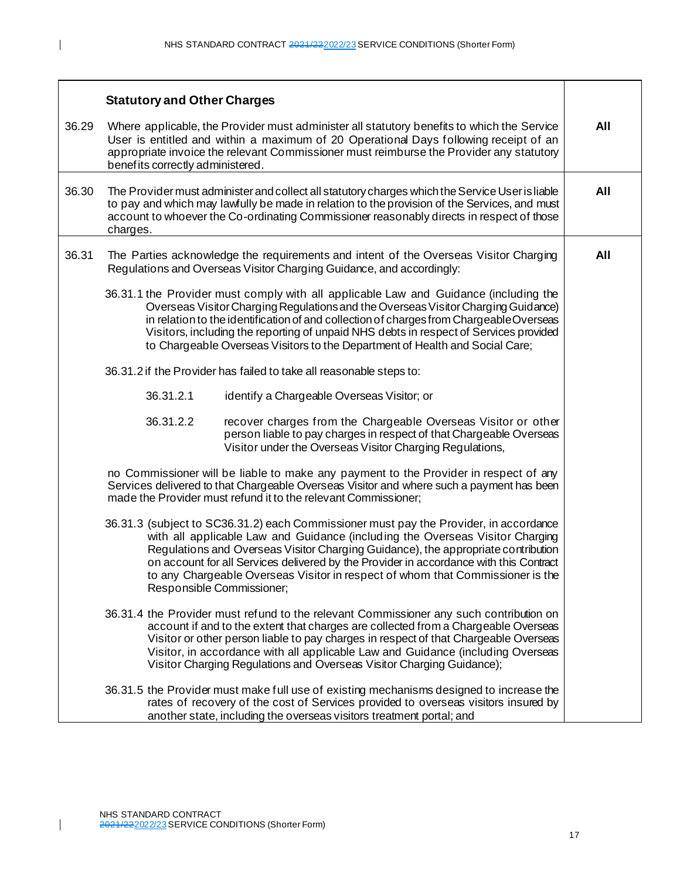|       | <b>Statutory and Other Charges</b>                                                                                                                                                                                                                                                                                                                                                                                                                                   |  |  |
|-------|----------------------------------------------------------------------------------------------------------------------------------------------------------------------------------------------------------------------------------------------------------------------------------------------------------------------------------------------------------------------------------------------------------------------------------------------------------------------|--|--|
| 36.29 | Where applicable, the Provider must administer all statutory benefits to which the Service<br>User is entitled and within a maximum of 20 Operational Days following receipt of an<br>appropriate invoice the relevant Commissioner must reimburse the Provider any statutory<br>benefits correctly administered.                                                                                                                                                    |  |  |
| 36.30 | The Provider must administer and collect all statutory charges which the Service User is liable<br>to pay and which may lawfully be made in relation to the provision of the Services, and must<br>account to whoever the Co-ordinating Commissioner reasonably directs in respect of those<br>charges.                                                                                                                                                              |  |  |
| 36.31 | The Parties acknowledge the requirements and intent of the Overseas Visitor Charging<br>Regulations and Overseas Visitor Charging Guidance, and accordingly:                                                                                                                                                                                                                                                                                                         |  |  |
|       | 36.31.1 the Provider must comply with all applicable Law and Guidance (including the<br>Overseas Visitor Charging Regulations and the Overseas Visitor Charging Guidance)<br>in relation to the identification of and collection of charges from ChargeableOverseas<br>Visitors, including the reporting of unpaid NHS debts in respect of Services provided<br>to Chargeable Overseas Visitors to the Department of Health and Social Care;                         |  |  |
|       | 36.31.2 if the Provider has failed to take all reasonable steps to:                                                                                                                                                                                                                                                                                                                                                                                                  |  |  |
|       | 36.31.2.1<br>identify a Chargeable Overseas Visitor; or                                                                                                                                                                                                                                                                                                                                                                                                              |  |  |
|       | 36.31.2.2<br>recover charges from the Chargeable Overseas Visitor or other<br>person liable to pay charges in respect of that Chargeable Overseas<br>Visitor under the Overseas Visitor Charging Regulations,                                                                                                                                                                                                                                                        |  |  |
|       | no Commissioner will be liable to make any payment to the Provider in respect of any<br>Services delivered to that Chargeable Overseas Visitor and where such a payment has been<br>made the Provider must refund it to the relevant Commissioner;                                                                                                                                                                                                                   |  |  |
|       | 36.31.3 (subject to SC36.31.2) each Commissioner must pay the Provider, in accordance<br>with all applicable Law and Guidance (including the Overseas Visitor Charging<br>Regulations and Overseas Visitor Charging Guidance), the appropriate contribution<br>on account for all Services delivered by the Provider in accordance with this Contract<br>to any Chargeable Overseas Visitor in respect of whom that Commissioner is the<br>Responsible Commissioner; |  |  |
|       | 36.31.4 the Provider must refund to the relevant Commissioner any such contribution on<br>account if and to the extent that charges are collected from a Chargeable Overseas<br>Visitor or other person liable to pay charges in respect of that Chargeable Overseas<br>Visitor, in accordance with all applicable Law and Guidance (including Overseas<br>Visitor Charging Regulations and Overseas Visitor Charging Guidance);                                     |  |  |
|       | 36.31.5 the Provider must make full use of existing mechanisms designed to increase the<br>rates of recovery of the cost of Services provided to overseas visitors insured by<br>another state, including the overseas visitors treatment portal; and                                                                                                                                                                                                                |  |  |

 $\begin{array}{c} \hline \end{array}$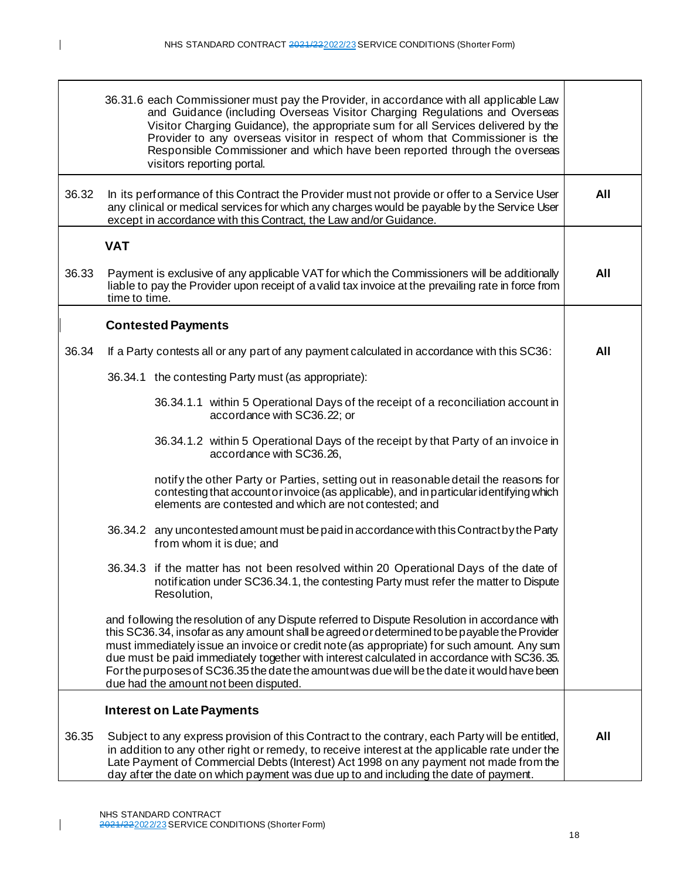|       | 36.31.6 each Commissioner must pay the Provider, in accordance with all applicable Law<br>and Guidance (including Overseas Visitor Charging Regulations and Overseas<br>Visitor Charging Guidance), the appropriate sum for all Services delivered by the<br>Provider to any overseas visitor in respect of whom that Commissioner is the<br>Responsible Commissioner and which have been reported through the overseas<br>visitors reporting portal.                                                                             |  |     |  |
|-------|-----------------------------------------------------------------------------------------------------------------------------------------------------------------------------------------------------------------------------------------------------------------------------------------------------------------------------------------------------------------------------------------------------------------------------------------------------------------------------------------------------------------------------------|--|-----|--|
| 36.32 | In its performance of this Contract the Provider must not provide or offer to a Service User<br>any clinical or medical services for which any charges would be payable by the Service User<br>except in accordance with this Contract, the Law and/or Guidance.                                                                                                                                                                                                                                                                  |  | All |  |
|       | <b>VAT</b>                                                                                                                                                                                                                                                                                                                                                                                                                                                                                                                        |  |     |  |
| 36.33 | Payment is exclusive of any applicable VAT for which the Commissioners will be additionally<br>liable to pay the Provider upon receipt of a valid tax invoice at the prevailing rate in force from<br>time to time.                                                                                                                                                                                                                                                                                                               |  | All |  |
|       | <b>Contested Payments</b>                                                                                                                                                                                                                                                                                                                                                                                                                                                                                                         |  |     |  |
| 36.34 | If a Party contests all or any part of any payment calculated in accordance with this SC36:                                                                                                                                                                                                                                                                                                                                                                                                                                       |  | All |  |
|       | 36.34.1 the contesting Party must (as appropriate):                                                                                                                                                                                                                                                                                                                                                                                                                                                                               |  |     |  |
|       | 36.34.1.1 within 5 Operational Days of the receipt of a reconciliation account in<br>accordance with SC36.22; or                                                                                                                                                                                                                                                                                                                                                                                                                  |  |     |  |
|       | 36.34.1.2 within 5 Operational Days of the receipt by that Party of an invoice in<br>accordance with SC36.26,                                                                                                                                                                                                                                                                                                                                                                                                                     |  |     |  |
|       | notify the other Party or Parties, setting out in reasonable detail the reasons for<br>contesting that account or invoice (as applicable), and in particular identifying which<br>elements are contested and which are not contested; and                                                                                                                                                                                                                                                                                         |  |     |  |
|       | 36.34.2 any uncontested amount must be paid in accordance with this Contract by the Party<br>from whom it is due; and                                                                                                                                                                                                                                                                                                                                                                                                             |  |     |  |
|       | 36.34.3 if the matter has not been resolved within 20 Operational Days of the date of<br>notification under SC36.34.1, the contesting Party must refer the matter to Dispute<br>Resolution,                                                                                                                                                                                                                                                                                                                                       |  |     |  |
|       | and following the resolution of any Dispute referred to Dispute Resolution in accordance with<br>this SC36.34, insofar as any amount shall be agreed or determined to be payable the Provider<br>must immediately issue an invoice or credit note (as appropriate) for such amount. Any sum<br>due must be paid immediately together with interest calculated in accordance with SC36.35.<br>For the purposes of SC36.35 the date the amount was due will be the date it would have been<br>due had the amount not been disputed. |  |     |  |
|       | <b>Interest on Late Payments</b>                                                                                                                                                                                                                                                                                                                                                                                                                                                                                                  |  |     |  |
| 36.35 | Subject to any express provision of this Contract to the contrary, each Party will be entitled,<br>in addition to any other right or remedy, to receive interest at the applicable rate under the<br>Late Payment of Commercial Debts (Interest) Act 1998 on any payment not made from the<br>day after the date on which payment was due up to and including the date of payment.                                                                                                                                                |  | All |  |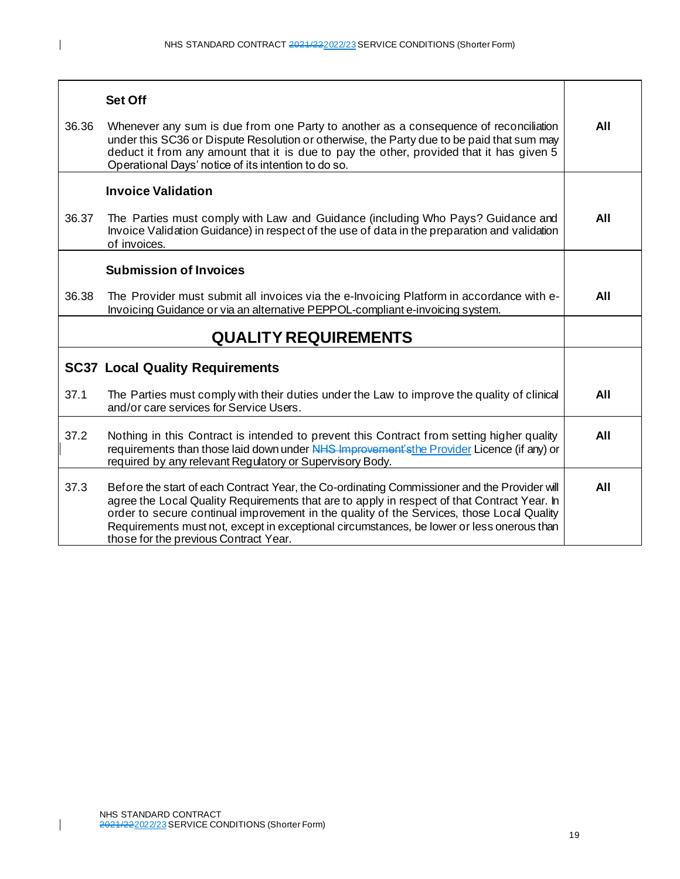| 36.36 | <b>Set Off</b><br>Whenever any sum is due from one Party to another as a consequence of reconciliation<br>under this SC36 or Dispute Resolution or otherwise, the Party due to be paid that sum may<br>deduct it from any amount that it is due to pay the other, provided that it has given 5<br>Operational Days' notice of its intention to do so.                                                                          | All |
|-------|--------------------------------------------------------------------------------------------------------------------------------------------------------------------------------------------------------------------------------------------------------------------------------------------------------------------------------------------------------------------------------------------------------------------------------|-----|
| 36.37 | <b>Invoice Validation</b><br>The Parties must comply with Law and Guidance (including Who Pays? Guidance and<br>Invoice Validation Guidance) in respect of the use of data in the preparation and validation<br>of invoices.                                                                                                                                                                                                   | All |
| 36.38 | <b>Submission of Invoices</b><br>The Provider must submit all invoices via the e-Invoicing Platform in accordance with e-<br>Invoicing Guidance or via an alternative PEPPOL-compliant e-invoicing system.                                                                                                                                                                                                                     | All |
|       | <b>QUALITY REQUIREMENTS</b>                                                                                                                                                                                                                                                                                                                                                                                                    |     |
|       | <b>SC37 Local Quality Requirements</b>                                                                                                                                                                                                                                                                                                                                                                                         |     |
| 37.1  | The Parties must comply with their duties under the Law to improve the quality of clinical<br>and/or care services for Service Users.                                                                                                                                                                                                                                                                                          | All |
| 37.2  | Nothing in this Contract is intended to prevent this Contract from setting higher quality<br>requirements than those laid down under NHS Improvement's the Provider Licence (if any) or<br>required by any relevant Regulatory or Supervisory Body.                                                                                                                                                                            | All |
| 37.3  | Before the start of each Contract Year, the Co-ordinating Commissioner and the Provider will<br>agree the Local Quality Requirements that are to apply in respect of that Contract Year. In<br>order to secure continual improvement in the quality of the Services, those Local Quality<br>Requirements must not, except in exceptional circumstances, be lower or less onerous than<br>those for the previous Contract Year. | All |

19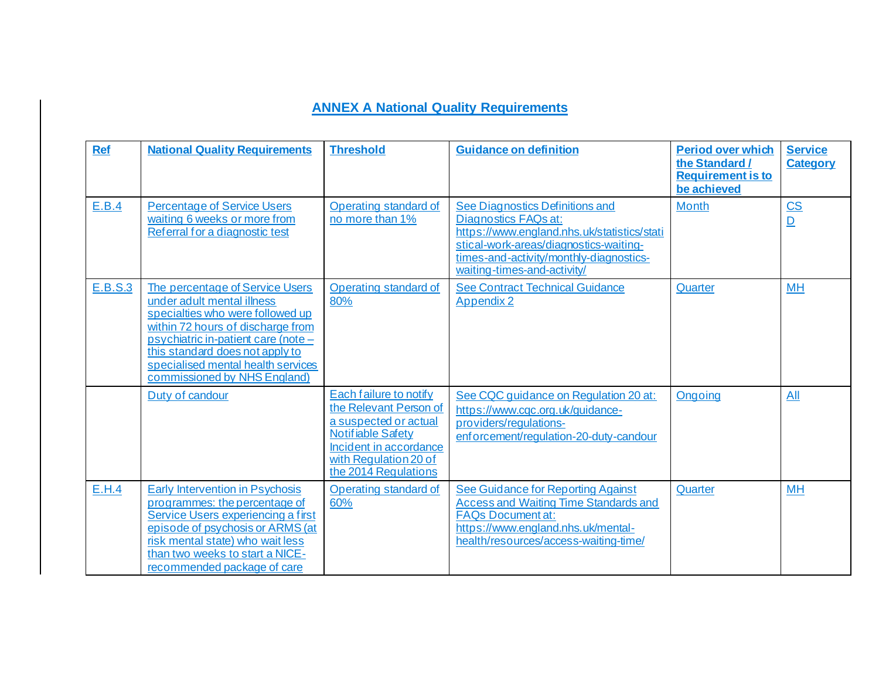## **ANNEX A National Quality Requirements**

| <b>Ref</b> | <b>National Quality Requirements</b>                                                                                                                                                                                                                                                   | <b>Threshold</b>                                                                                                                                                                 | <b>Guidance on definition</b>                                                                                                                                                                                              | <b>Period over which</b><br>the Standard /<br><b>Requirement is to</b><br>be achieved | <b>Service</b><br><b>Category</b>           |
|------------|----------------------------------------------------------------------------------------------------------------------------------------------------------------------------------------------------------------------------------------------------------------------------------------|----------------------------------------------------------------------------------------------------------------------------------------------------------------------------------|----------------------------------------------------------------------------------------------------------------------------------------------------------------------------------------------------------------------------|---------------------------------------------------------------------------------------|---------------------------------------------|
| E.B.4      | <b>Percentage of Service Users</b><br>waiting 6 weeks or more from<br>Referral for a diagnostic test                                                                                                                                                                                   | Operating standard of<br>no more than 1%                                                                                                                                         | See Diagnostics Definitions and<br>Diagnostics FAQs at:<br>https://www.england.nhs.uk/statistics/stati<br>stical-work-areas/diagnostics-waiting-<br>times-and-activity/monthly-diagnostics-<br>waiting-times-and-activity/ | <b>Month</b>                                                                          | $\underline{\mathsf{CS}}$<br>$\overline{D}$ |
| E.B.S.3    | The percentage of Service Users<br>under adult mental illness<br>specialties who were followed up<br>within 72 hours of discharge from<br>psychiatric in-patient care (note -<br>this standard does not apply to<br>specialised mental health services<br>commissioned by NHS England) | Operating standard of<br>80%                                                                                                                                                     | <b>See Contract Technical Guidance</b><br><b>Appendix 2</b>                                                                                                                                                                | Quarter                                                                               | <b>MH</b>                                   |
|            | Duty of candour                                                                                                                                                                                                                                                                        | Each failure to notify<br>the Relevant Person of<br>a suspected or actual<br><b>Notifiable Safety</b><br>Incident in accordance<br>with Regulation 20 of<br>the 2014 Regulations | See CQC guidance on Regulation 20 at:<br>https://www.cqc.org.uk/guidance-<br>providers/regulations-<br>enforcement/regulation-20-duty-candour                                                                              | Ongoing                                                                               | All                                         |
| E.H.4      | <b>Early Intervention in Psychosis</b><br>programmes: the percentage of<br>Service Users experiencing a first<br>episode of psychosis or ARMS (at<br>risk mental state) who wait less<br>than two weeks to start a NICE-<br>recommended package of care                                | Operating standard of<br>60%                                                                                                                                                     | <b>See Guidance for Reporting Against</b><br><b>Access and Waiting Time Standards and</b><br><b>FAQs Document at:</b><br>https://www.england.nhs.uk/mental-<br>health/resources/access-waiting-time/                       | Quarter                                                                               | MH                                          |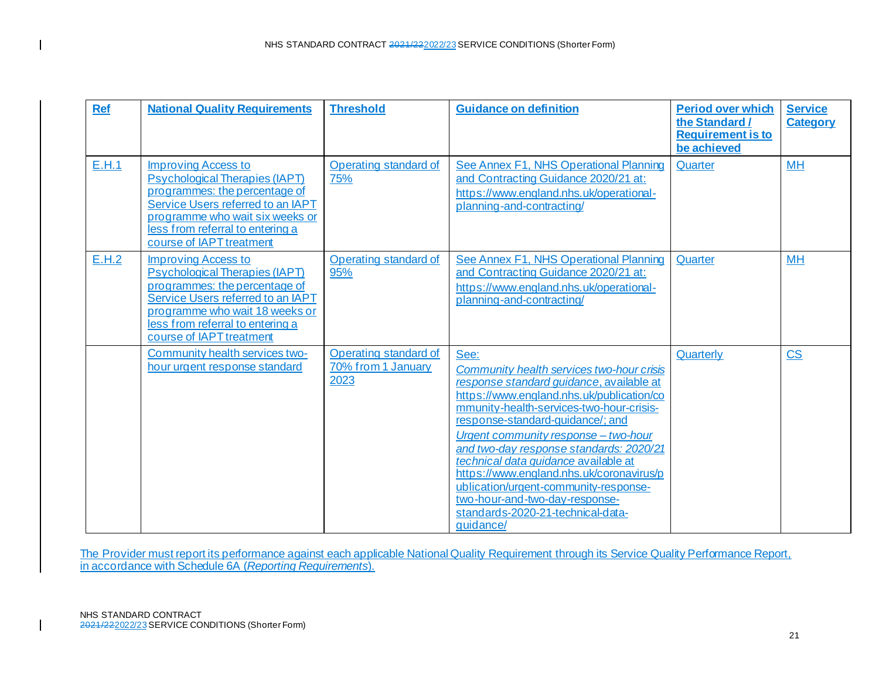| <b>Ref</b> | <b>National Quality Requirements</b>                                                                                                                                                                                                        | <b>Threshold</b>                                    | <b>Guidance on definition</b>                                                                                                                                                                                                                                                                                                                                                                                                                                                                                                  | <b>Period over which</b><br>the Standard /<br><b>Requirement is to</b><br>be achieved | <b>Service</b><br><b>Category</b> |
|------------|---------------------------------------------------------------------------------------------------------------------------------------------------------------------------------------------------------------------------------------------|-----------------------------------------------------|--------------------------------------------------------------------------------------------------------------------------------------------------------------------------------------------------------------------------------------------------------------------------------------------------------------------------------------------------------------------------------------------------------------------------------------------------------------------------------------------------------------------------------|---------------------------------------------------------------------------------------|-----------------------------------|
| E.H.1      | Improving Access to<br><b>Psychological Therapies (IAPT)</b><br>programmes: the percentage of<br>Service Users referred to an IAPT<br>programme who wait six weeks or<br>less from referral to entering a<br>course of IAPT treatment       | Operating standard of<br>75%                        | See Annex F1, NHS Operational Planning<br>and Contracting Guidance 2020/21 at:<br>https://www.england.nhs.uk/operational-<br>planning-and-contracting/                                                                                                                                                                                                                                                                                                                                                                         | Quarter                                                                               | <b>MH</b>                         |
| E.H.2      | <b>Improving Access to</b><br><b>Psychological Therapies (IAPT)</b><br>programmes: the percentage of<br>Service Users referred to an IAPT<br>programme who wait 18 weeks or<br>less from referral to entering a<br>course of IAPT treatment | Operating standard of<br>95%                        | See Annex F1, NHS Operational Planning<br>and Contracting Guidance 2020/21 at:<br>https://www.england.nhs.uk/operational-<br>planning-and-contracting/                                                                                                                                                                                                                                                                                                                                                                         | Quarter                                                                               | <b>MH</b>                         |
|            | Community health services two-<br>hour urgent response standard                                                                                                                                                                             | Operating standard of<br>70% from 1 January<br>2023 | See:<br>Community health services two-hour crisis<br>response standard quidance, available at<br>https://www.england.nhs.uk/publication/co<br>mmunity-health-services-two-hour-crisis-<br>response-standard-guidance/; and<br>Urgent community response - two-hour<br>and two-day response standards: 2020/21<br>technical data guidance available at<br>https://www.england.nhs.uk/coronavirus/p<br>ublication/urgent-community-response-<br>two-hour-and-two-day-response-<br>standards-2020-21-technical-data-<br>quidance/ | Quarterly                                                                             | $\overline{\text{CS}}$            |

The Provider must report its performance against each applicable National Quality Requirement through its Service Quality Performance Report, in accordance with Schedule 6A (*Reporting Requirements*).

 $\mathbf I$